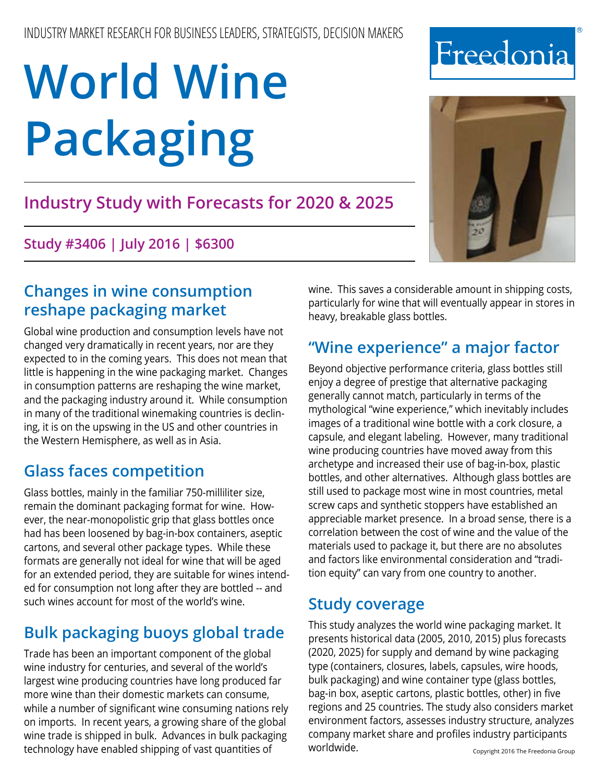# **Industry Study with Forecasts for 2020 & 2025**

**Study #3406 | July 2016 | \$6300**

# **Changes in wine consumption reshape packaging market**

Global wine production and consumption levels have not changed very dramatically in recent years, nor are they expected to in the coming years. This does not mean that little is happening in the wine packaging market. Changes in consumption patterns are reshaping the wine market, and the packaging industry around it. While consumption in many of the traditional winemaking countries is declining, it is on the upswing in the US and other countries in the Western Hemisphere, as well as in Asia.

# **Glass faces competition**

Glass bottles, mainly in the familiar 750-milliliter size, remain the dominant packaging format for wine. However, the near-monopolistic grip that glass bottles once had has been loosened by bag-in-box containers, aseptic cartons, and several other package types. While these formats are generally not ideal for wine that will be aged for an extended period, they are suitable for wines intended for consumption not long after they are bottled -- and such wines account for most of the world's wine.

# **Bulk packaging buoys global trade**

Trade has been an important component of the global wine industry for centuries, and several of the world's largest wine producing countries have long produced far more wine than their domestic markets can consume, while a number of significant wine consuming nations rely on imports. In recent years, a growing share of the global wine trade is shipped in bulk. Advances in bulk packaging technology have enabled shipping of vast quantities of

wine. This saves a considerable amount in shipping costs, particularly for wine that will eventually appear in stores in heavy, breakable glass bottles.

# **"Wine experience" a major factor**

Beyond objective performance criteria, glass bottles still enjoy a degree of prestige that alternative packaging generally cannot match, particularly in terms of the mythological "wine experience," which inevitably includes images of a traditional wine bottle with a cork closure, a capsule, and elegant labeling. However, many traditional wine producing countries have moved away from this archetype and increased their use of bag-in-box, plastic bottles, and other alternatives. Although glass bottles are still used to package most wine in most countries, metal screw caps and synthetic stoppers have established an appreciable market presence. In a broad sense, there is a correlation between the cost of wine and the value of the materials used to package it, but there are no absolutes and factors like environmental consideration and "tradition equity" can vary from one country to another.

## **Study coverage**

This study analyzes the world wine packaging market. It presents historical data (2005, 2010, 2015) plus forecasts (2020, 2025) for supply and demand by wine packaging type (containers, closures, labels, capsules, wire hoods, bulk packaging) and wine container type (glass bottles, bag-in box, aseptic cartons, plastic bottles, other) in five regions and 25 countries. The study also considers market environment factors, assesses industry structure, analyzes company market share and profiles industry participants worldwide. Copyright 2016 The Freedonia Group



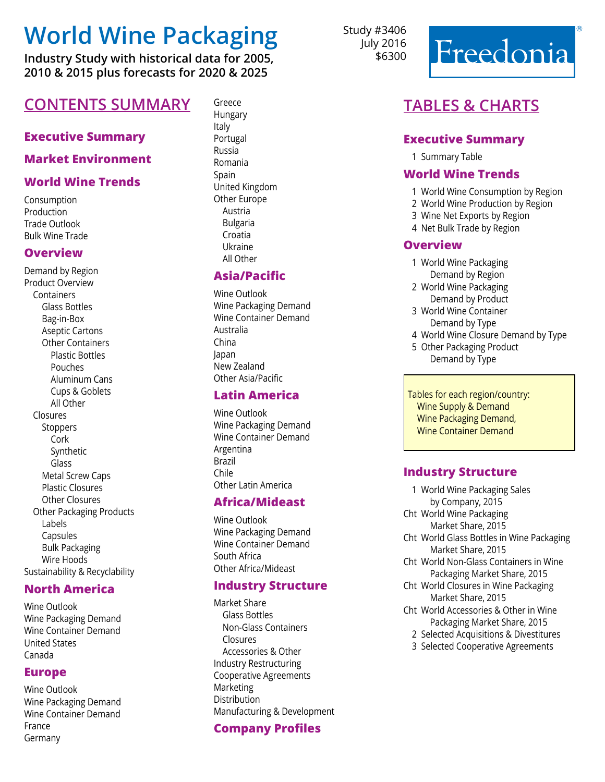**Industry Study with historical data for 2005, 2010 & 2015 plus forecasts for 2020 & 2025**

## **CONTENTS SUMMARY** Greece

#### **Executive Summary**

#### **Market Environment**

#### **World Wine Trends**

Consumption **Production** Trade Outlook Bulk Wine Trade

#### **Overview**

Demand by Region Product Overview **Containers**  Glass Bottles Bag-in-Box Aseptic Cartons Other Containers Plastic Bottles Pouches Aluminum Cans Cups & Goblets All Other Closures **Stoppers**  Cork Synthetic Glass Metal Screw Caps Plastic Closures Other Closures Other Packaging Products Labels **Capsules**  Bulk Packaging Wire Hoods Sustainability & Recyclability

#### **North America**

Wine Outlook Wine Packaging Demand Wine Container Demand United States Canada

#### **Europe**

Wine Outlook Wine Packaging Demand Wine Container Demand France Germany

Hungary Italy Portugal Russia Romania Spain United Kingdom Other Europe Austria Bulgaria Croatia Ukraine All Other

#### **Asia/Pacific**

Wine Outlook Wine Packaging Demand Wine Container Demand Australia China Japan New Zealand Other Asia/Pacific

#### **Latin America**

Wine Outlook Wine Packaging Demand Wine Container Demand Argentina Brazil Chile Other Latin America

#### **Africa/Mideast**

Wine Outlook Wine Packaging Demand Wine Container Demand South Africa Other Africa/Mideast

#### **Industry Structure**

Market Share Glass Bottles Non-Glass Containers Closures Accessories & Other Industry Restructuring Cooperative Agreements Marketing Distribution Manufacturing & Development

#### **Company Profiles**

Study #3406 July 2016 \$6300



## **Tables & Charts**

#### **Executive Summary**

1 Summary Table

#### **World Wine Trends**

- 1 World Wine Consumption by Region
- 2 World Wine Production by Region
- 3 Wine Net Exports by Region
- 4 Net Bulk Trade by Region

#### **Overview**

- 1 World Wine Packaging Demand by Region
- 2 World Wine Packaging Demand by Product
- 3 World Wine Container Demand by Type
- 4 World Wine Closure Demand by Type
- 5 Other Packaging Product Demand by Type

 Tables for each region/country: Wine Supply & Demand Wine Packaging Demand, Wine Container Demand

#### **Industry Structure**

- 1 World Wine Packaging Sales by Company, 2015 Cht World Wine Packaging Market Share, 2015 Cht World Glass Bottles in Wine Packaging Market Share, 2015 Cht World Non-Glass Containers in Wine Packaging Market Share, 2015 Cht World Closures in Wine Packaging Market Share, 2015 Cht World Accessories & Other in Wine
	- Packaging Market Share, 2015
	- 2 Selected Acquisitions & Divestitures
	- 3 Selected Cooperative Agreements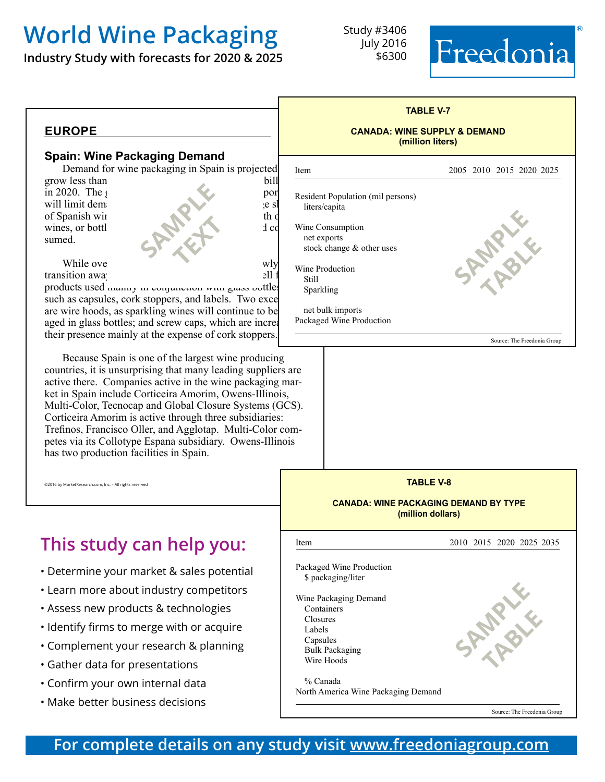**Industry Study with forecasts for 2020 & 2025**

Study #3406 July 2016 \$6300





#### **Spain: Wine Packaging Demand**

Demand for wine packaging in Spain is projected

**SAMPLE** 

**text** 

grow less than bill in 2020. The  $\beta$ will limit demand for packaging in  $\mathbf{e}$  is of Spanish wine is shipped in bulk and bulk and bulk and bulk and bulk and bulk and bulk and bulk and bulk and bulk and bulk and bulk and bulk and bulk and bulk and bulk and bulk and bulk and bulk and bulk and bulk and bul wines, or bottl $\log$ sumed.

While ove $\omega$  will grow subset with  $\omega$ transition away from glass both glass both glass both  $211$ 

products used manny in conjunction with glass bottles such as capsules, cork stoppers, and labels. Two exce are wire hoods, as sparkling wines will continue to be aged in glass bottles; and screw caps, which are increasing their presence mainly at the expense of cork stoppers.

Because Spain is one of the largest wine producing countries, it is unsurprising that many leading suppliers are active there. Companies active in the wine packaging market in Spain include Corticeira Amorim, Owens-Illinois, Multi-Color, Tecnocap and Global Closure Systems (GCS). Corticeira Amorim is active through three subsidiaries: Trefinos, Francisco Oller, and Agglotap. Multi-Color competes via its Collotype Espana subsidiary. Owens-Illinois has two production facilities in Spain.

©2016 by MarketResearch.com, Inc. - All rights reserve

# **This study can help you:**

- Determine your market & sales potential
- Learn more about industry competitors
- Assess new products & technologies
- Identify firms to merge with or acquire
- Complement your research & planning
- Gather data for presentations
- Confirm your own internal data
- Make better business decisions

| (million liters)                                             |                             |
|--------------------------------------------------------------|-----------------------------|
| Item                                                         | 2005 2010 2015 2020 2025    |
| Resident Population (mil persons)<br>liters/capita           |                             |
| Wine Consumption<br>net exports<br>stock change & other uses |                             |
| Wine Production<br><b>Still</b><br>Sparkling                 |                             |
| net bulk imports<br>Packaged Wine Production                 |                             |
|                                                              | Source: The Freedonia Group |

**TABLE V-7 CANADA: WINE SUPPLY & DEMAND**



Source: The Freedonia Group

**For complete details on any study visit [www.freedoniagroup.com](http://www.freedoniagroup.com/Home.aspx?ReferrerId=FM-BRO)**